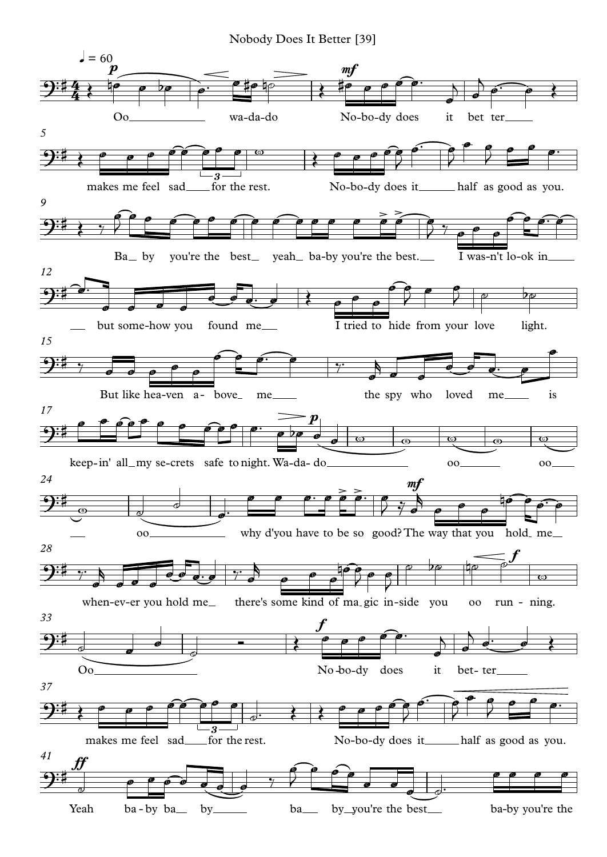Nobody Does It Better [39]